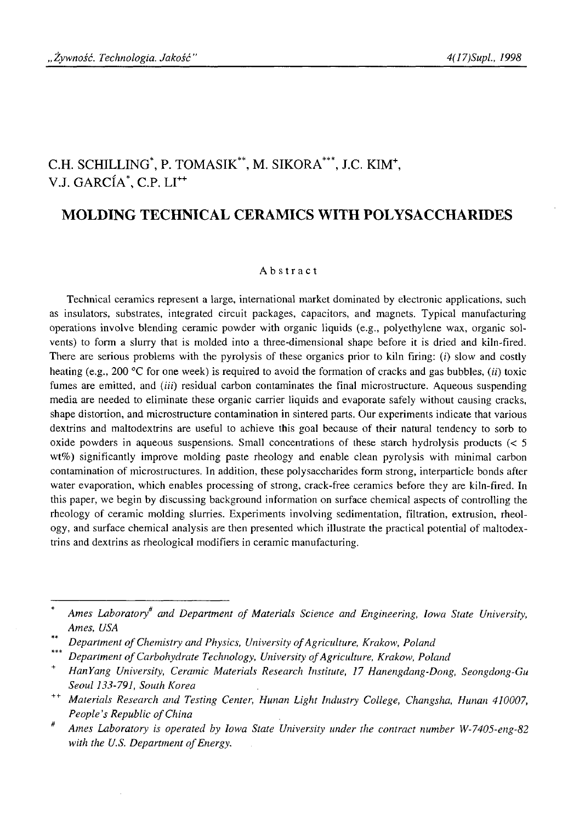# C.H. SCHILLING\*, P. TOMASIK", M. SIKORA\*\*\*, J.C. KIM+, V.J. GARCÍA<sup>\*</sup>, C.P. LI<sup>++</sup>

# **MOLDING TECHNICAL CERAMICS WITH POLYSACCHARIDES**

#### Abstract

Technical ceramics represent a large, international market dominated by electronic applications, such as insulators, substrates, integrated circuit packages, capacitors, and magnets. Typical manufacturing operations involve blending ceramic powder with organic liquids (e.g., polyethylene wax, organic solvents) to form a slurry that is molded into a three-dimensional shape before it is dried and kiln-fired. There are serious problems with the pyrolysis of these organics prior to kiln firing:  $(i)$  slow and costly heating (e.g., 200 °C for one week) is required to avoid the formation of cracks and gas bubbles, *(ii)* toxic fumes are emitted, and *(iii)* residual carbon contaminates the final microstructure. Aqueous suspending media are needed to eliminate these organic carrier liquids and evaporate safely without causing cracks, shape distortion, and microstructure contamination in sintered parts. Our experiments indicate that various dextrins and maltodextrins are useful to achieve this goal because of their natural tendency to sorb to oxide powders in aqueous suspensions. Small concentrations of these starch hydrolysis products  $\leq 5$ wt%) significantly improve molding paste rheology and enable clean pyrolysis with minimal carbon contamination of microstructures. In addition, these polysaccharides form strong, interparticle bonds after water evaporation, which enables processing of strong, crack-free ceramics before they are kiln-fired. In this paper, we begin by discussing background information on surface chemical aspects of controlling the rheology of ceramic molding slurries. Experiments involving sedimentation, filtration, extrusion, rheology, and surface chemical analysis are then presented which illustrate the practical potential of maltodextrins and dextrins as rheological modifiers in ceramic manufacturing.

Ames Laboratory<sup>#</sup> and Department of Materials Science and Engineering, Iowa State University, *Ames, USA*

Department of Chemistry and Physics, University of Agriculture, Krakow, Poland

Department of Carbohydrate Technology, University of Agriculture, Krakow, Poland

<sup>+</sup> *HanYang University, Ceramic Materials Research Institute, 17 Hanengdang-Dong, Seongdong-Gu Seoul 133-791, South Korea*

<sup>++</sup> *Materials Research and Testing Center, Hunan Light Industry College, Changsha, Hunan 410007, People's Republic of China* 

*Ames Laboratory is operated by Iowa State University under the contract number W-7405-eng-82* with the U.S. Department of Energy.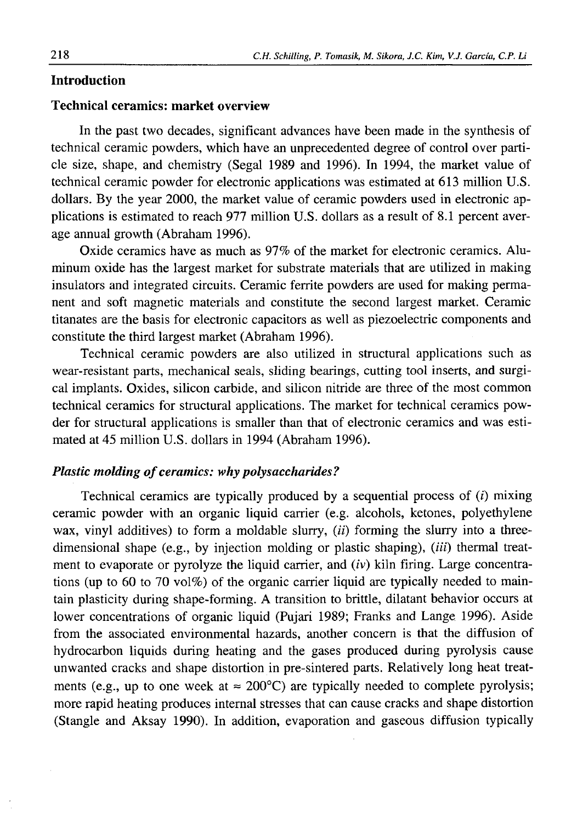# **Introduction**

# **Technical ceramics: market overview**

In the past two decades, significant advances have been made in the synthesis of technical ceramic powders, which have an unprecedented degree of control over particle size, shape, and chemistry (Segal 1989 and 1996). In 1994, the market value of technical ceramic powder for electronic applications was estimated at 613 million U.S. dollars. By the year 2000, the market value of ceramic powders used in electronic applications is estimated to reach 977 million U.S. dollars as a result of 8.1 percent average annual growth (Abraham 1996).

Oxide ceramics have as much as 97% of the market for electronic ceramics. Aluminum oxide has the largest market for substrate materials that are utilized in making insulators and integrated circuits. Ceramic ferrite powders are used for making permanent and soft magnetic materials and constitute the second largest market. Ceramic titanates are the basis for electronic capacitors as well as piezoelectric components and constitute the third largest market (Abraham 1996).

Technical ceramic powders are also utilized in structural applications such as wear-resistant parts, mechanical seals, sliding bearings, cutting tool inserts, and surgical implants. Oxides, silicon carbide, and silicon nitride are three of the most common technical ceramics for structural applications. The market for technical ceramics powder for structural applications is smaller than that of electronic ceramics and was estimated at 45 million U.S. dollars in 1994 (Abraham 1996).

## *Plastic molding of ceramics: why polysaccharides?*

Technical ceramics are typically produced by a sequential process of  $(i)$  mixing ceramic powder with an organic liquid carrier (e.g. alcohols, ketones, polyethylene wax, vinyl additives) to form a moldable slurry, *(if)* forming the slurry into a threedimensional shape (e.g., by injection molding or plastic shaping),  $(iii)$  thermal treatment to evaporate or pyrolyze the liquid carrier, and (*iv*) kiln firing. Large concentrations (up to 60 to 70 vol%) of the organic carrier liquid are typically needed to maintain plasticity during shape-forming. A transition to brittle, dilatant behavior occurs at lower concentrations of organic liquid (Pujari 1989; Franks and Lange 1996). Aside from the associated environmental hazards, another concern is that the diffusion of hydrocarbon liquids during heating and the gases produced during pyrolysis cause unwanted cracks and shape distortion in pre-sintered parts. Relatively long heat treatments (e.g., up to one week at  $\approx 200^{\circ}$ C) are typically needed to complete pyrolysis; more rapid heating produces internal stresses that can cause cracks and shape distortion (Štangle and Aksay 1990). In addition, evaporation and gaseous diffusion typically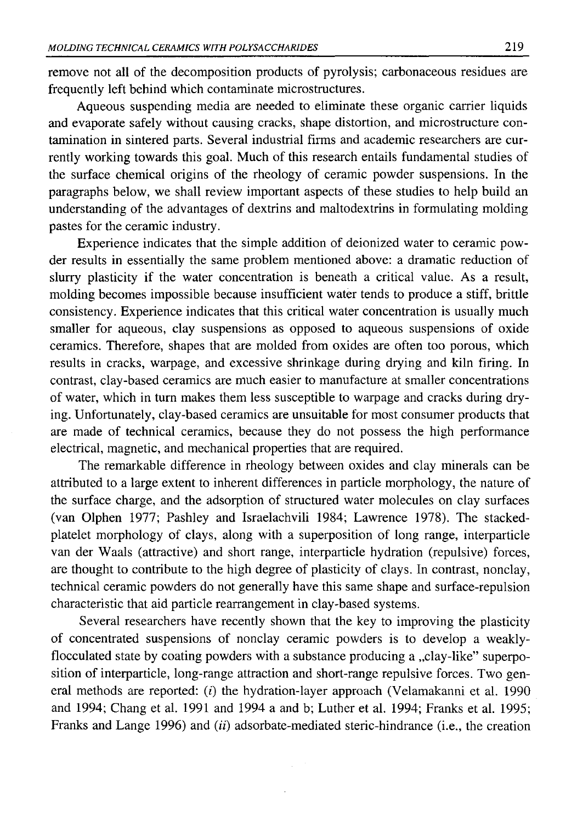remove not all of the decomposition products of pyrolysis; carbonaceous residues are frequently left behind which contaminate microstructures.

Aqueous suspending media are needed to eliminate these organic carrier liquids and evaporate safely without causing cracks, shape distortion, and microstructure contamination in sintered parts. Several industrial firms and academic researchers are currently working towards this goal. Much of this research entails fundamental studies of the surface chemical origins of the rheology of ceramic powder suspensions. In the paragraphs below, we shall review important aspects of these studies to help build an understanding of the advantages of dextrins and maltodextrins in formulating molding pastes for the ceramic industry.

Experience indicates that the simple addition of deionized water to ceramic powder results in essentially the same problem mentioned above: a dramatic reduction of slurry plasticity if the water concentration is beneath a critical value. As a result, molding becomes impossible because insufficient water tends to produce a stiff, brittle consistency. Experience indicates that this critical water concentration is usually much smaller for aqueous, clay suspensions as opposed to aqueous suspensions of oxide ceramics. Therefore, shapes that are molded from oxides are often too porous, which results in cracks, warpage, and excessive shrinkage during drying and kiln firing. In contrast, clay-based ceramics are much easier to manufacture at smaller concentrations of water, which in turn makes them less susceptible to warpage and cracks during drying. Unfortunately, clay-based ceramics are unsuitable for most consumer products that are made of technical ceramics, because they do not possess the high performance electrical, magnetic, and mechanical properties that are required.

The remarkable difference in rheology between oxides and clay minerals can be attributed to a large extent to inherent differences in particle morphology, the nature of the surface charge, and the adsorption of structured water molecules on clay surfaces (van Olphen 1977; Pashley and Israelachvili 1984; Lawrence 1978). The stackedplatelet morphology of clays, along with a superposition of long range, interparticle van der Waals (attractive) and short range, interparticle hydration (repulsive) forces, are thought to contribute to the high degree of plasticity of clays. In contrast, nonclay, technical ceramic powders do not generally have this same shape and surface-repulsion characteristic that aid particle rearrangement in clay-based systems.

Several researchers have recently shown that the key to improving the plasticity of concentrated suspensions of nonclay ceramic powders is to develop a weaklyflocculated state by coating powders with a substance producing a "clay-like" superposition of interparticle, long-range attraction and short-range repulsive forces. Two general methods are reported: (i) the hydration-layer approach (Velamakanni et al. 1990 and 1994; Chang et al. 1991 and 1994 a and b; Luther et al. 1994; Franks et al. 1995; Franks and Lange 1996) and *(ii)* adsorbate-mediated steric-hindrance (i.e., the creation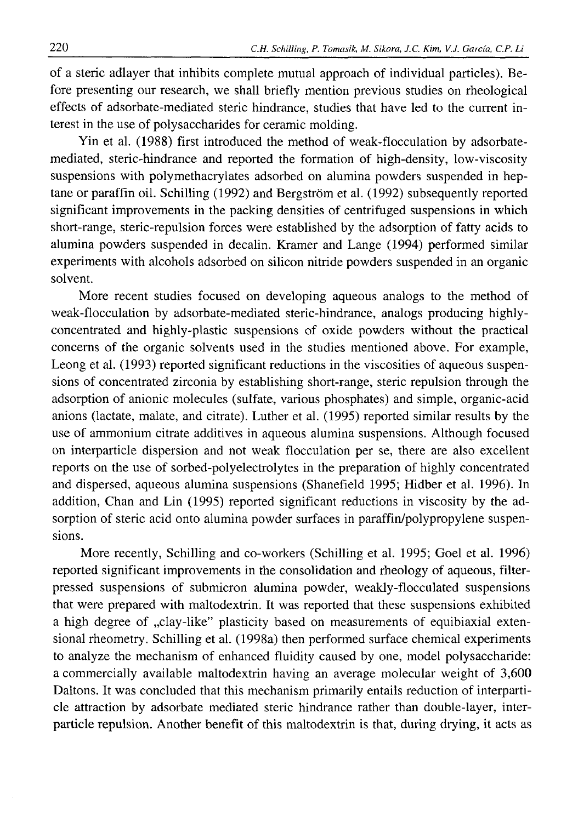of a steric adlayer that inhibits complete mutual approach of individual particles). Before presenting our research, we shall briefly mention previous studies on rheological effects of adsorbate-mediated steric hindrance, studies that have led to the current interest in the use of polysaccharides for ceramic molding.

Yin et al. (1988) first introduced the method of weak-flocculation by adsorbatemediated, steric-hindrance and reported the formation of high-density, low-viscosity suspensions with polymethacrylates adsorbed on alumina powders suspended in heptane or paraffin oil. Schilling (1992) and Bergstrom et al. (1992) subsequently reported significant improvements in the packing densities of centrifuged suspensions in which short-range, steric-repulsion forces were established by the adsorption of fatty acids to alumina powders suspended in decalin. Kramer and Lange (1994) performed similar experiments with alcohols adsorbed on silicon nitride powders suspended in an organic solvent.

More recent studies focused on developing aqueous analogs to the method of weak-flocculation by adsorbate-mediated steric-hindrance, analogs producing highlyconcentrated and highly-plastic suspensions of oxide powders without the practical concerns of the organic solvents used in the studies mentioned above. For example, Leong et al. (1993) reported significant reductions in the viscosities of aqueous suspensions of concentrated zirconia by establishing short-range, steric repulsion through the adsorption of anionic molecules (sulfate, various phosphates) and simple, organic-acid anions (lactate, malate, and citrate). Luther et al. (1995) reported similar results by the use of ammonium citrate additives in aqueous alumina suspensions. Although focused on interparticle dispersion and not weak flocculation per se, there are also excellent reports on the use of sorbed-polyelectrolytes in the preparation of highly concentrated and dispersed, aqueous alumina suspensions (Shanefield 1995; Hidber et al. 1996). In addition, Chan and Lin (1995) reported significant reductions in viscosity by the adsorption of steric acid onto alumina powder surfaces in paraffin/polypropylene suspensions.

More recently, Schilling and co-workers (Schilling et al. 1995; Goel et al. 1996) reported significant improvements in the consolidation and rheology of aqueous, filterpressed suspensions of submicron alumina powder, weakly-flocculated suspensions that were prepared with maltodextrin. It was reported that these suspensions exhibited a high degree of "clay-like" plasticity based on measurements of equibiaxial extensional rheometry. Schilling et al. (1998a) then performed surface chemical experiments to analyze the mechanism of enhanced fluidity caused by one, model polysaccharide: a commercially available maltodextrin having an average molecular weight of 3,600 Daltons. It was concluded that this mechanism primarily entails reduction of interparticle attraction by adsorbate mediated steric hindrance rather than double-layer, interparticle repulsion. Another benefit of this maltodextrin is that, during drying, it acts as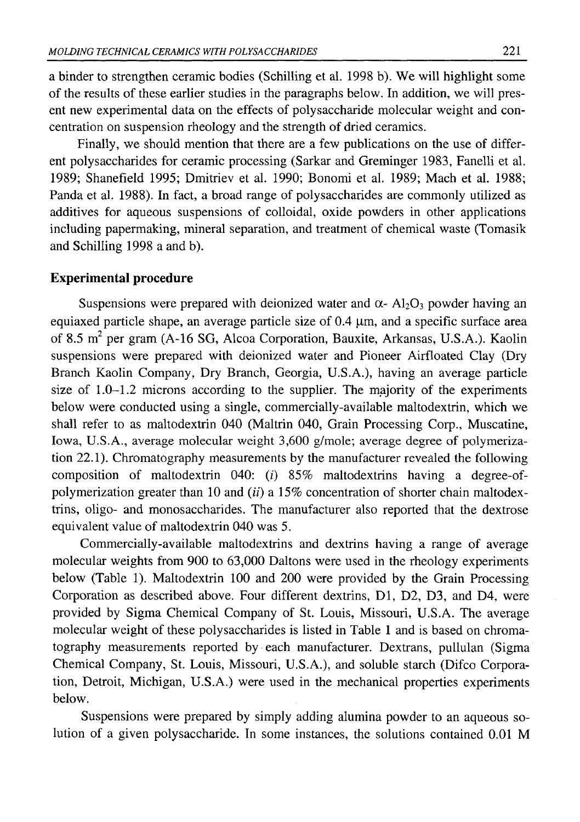a binder to strengthen ceramic bodies (Schilling et al. 1998 b). We will highlight some of the results of these earlier studies in the paragraphs below. In addition, we will present new experimental data on the effects of polysaccharide molecular weight and concentration on suspension rheology and the strength of dried ceramics.

Finally, we should mention that there are a few publications on the use of different polysaccharides for ceramic processing (Sarkar and Greminger 1983, Fanelli et al. 1989; Shanefield 1995; Dmitriev et al. 1990; Bonomi et al. 1989; Mach et al. 1988; Panda et al. 1988). In fact, a broad range of polysaccharides are commonly utilized as additives for aqueous suspensions of colloidal, oxide powders in other applications including papermaking, mineral separation, and treatment of chemical waste (Tomasik and Schilling 1998 a and b).

#### **Experimental procedure**

Suspensions were prepared with deionized water and  $\alpha$ - Al<sub>2</sub>O<sub>3</sub> powder having an equiaxed particle shape, an average particle size of 0.4 μιη, and a specific surface area of 8.5 m<sup>2</sup> per gram (A-16 SG, Alcoa Corporation, Bauxite, Arkansas, U.S.A.). Kaolin suspensions were prepared with deionized water and Pioneer Airfloated Clay (Dry Branch Kaolin Company, Dry Branch, Georgia, U.S.A.), having an average particle size of 1.0-1.2 microns according to the supplier. The majority of the experiments below were conducted using a single, commercially-available maltodextrin, which we shall refer to as maltodextrin 040 (Maltrin 040, Grain Processing Corp., Muscatine, Iowa, U.S.A., average molecular weight 3,600 g/mole; average degree of polymerization 22.1). Chromatography measurements by the manufacturer revealed the following composition of maltodextrin 040: *(i)* 85% maltodextrins having a degree-ofpolymerization greater than 10 and *(ii)* a 15% concentration of shorter chain maltodextrins, oligo- and monosaccharides. The manufacturer also reported that the dextrose equivalent value of maltodextrin 040 was 5.

Commercially-available maltodextrins and dextrins having a range of average molecular weights from 900 to 63,000 Daltons were used in the rheology experiments below (Table 1). Maltodextrin 100 and 200 were provided by the Grain Processing Corporation as described above. Four different dextrins, D1, D2, D3, and D4, were provided by Sigma Chemical Company of St. Louis, Missouri, U.S.A. The average molecular weight of these polysaccharides is listed in Table 1 and is based on chromatography measurements reported by each manufacturer. Dextrans, pullulan (Sigma Chemical Company, St. Louis, Missouri, U.S.A.), and soluble starch (Difco Corporation, Detroit, Michigan, U.S.A.) were used in the mechanical properties experiments below.

Suspensions were prepared by simply adding alumina powder to an aqueous solution of a given polysaccharide. In some instances, the solutions contained 0.01 M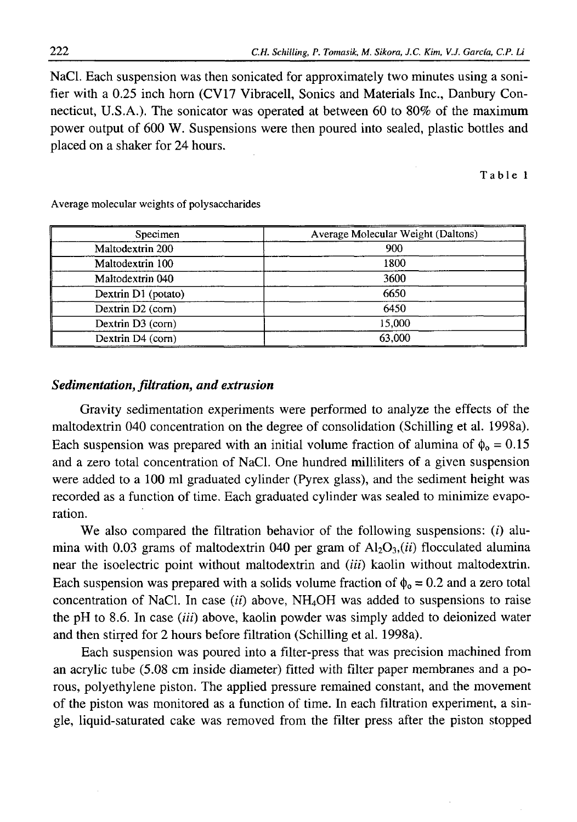NaCl. Each suspension was then sonicated for approximately two minutes using a sonifier with a 0.25 inch horn (CV17 Vibracell, Sonics and Materials Inc., Danbury Connecticut, U.S.A.). The sonicator was operated at between 60 to 80% of the maximum power output of 600 W. Suspensions were then poured into sealed, plastic bottles and placed on a shaker for 24 hours.

Table 1

| Specimen            | Average Molecular Weight (Daltons) |  |  |  |
|---------------------|------------------------------------|--|--|--|
| Maltodextrin 200    | 900                                |  |  |  |
| Maltodextrin 100    | 1800                               |  |  |  |
| Maltodextrin 040    | 3600                               |  |  |  |
| Dextrin D1 (potato) | 6650                               |  |  |  |
| Dextrin D2 (corn)   | 6450                               |  |  |  |
| Dextrin D3 (corn)   | 15,000                             |  |  |  |
| Dextrin D4 (corn)   | 63,000                             |  |  |  |

Average molecular weights of polysaccharides

## *Sedimentation, filtration, and extrusion*

Gravity sedimentation experiments were performed to analyze the effects of the maltodextrin 040 concentration on the degree of consolidation (Schilling et al. 1998a). Each suspension was prepared with an initial volume fraction of alumina of  $\phi_0 = 0.15$ and a zero total concentration of NaCl. One hundred milliliters of a given suspension were added to a 100 ml graduated cylinder (Pyrex glass), and the sediment height was recorded as a function of time. Each graduated cylinder was sealed to minimize evaporation.

We also compared the filtration behavior of the following suspensions: *(i)* alumina with 0.03 grams of maltodextrin 040 per gram of  $Al_2O_3$ , (ii) flocculated alumina near the isoelectric point without maltodextrin and *(iii)* kaolin without maltodextrin. Each suspension was prepared with a solids volume fraction of  $\phi_0 = 0.2$  and a zero total concentration of NaCl. In case *(ii)* above, NH4OH was added to suspensions to raise the pH to 8.6. In case  $(iii)$  above, kaolin powder was simply added to deionized water and then stirred for 2 hours before filtration (Schilling et al. 1998a).

Each suspension was poured into a filter-press that was precision machined from an acrylic tube (5.08 cm inside diameter) fitted with filter paper membranes and a porous, polyethylene piston. The applied pressure remained constant, and the movement of the piston was monitored as a function of time. In each filtration experiment, a single, liquid-saturated cake was removed from the filter press after the piston stopped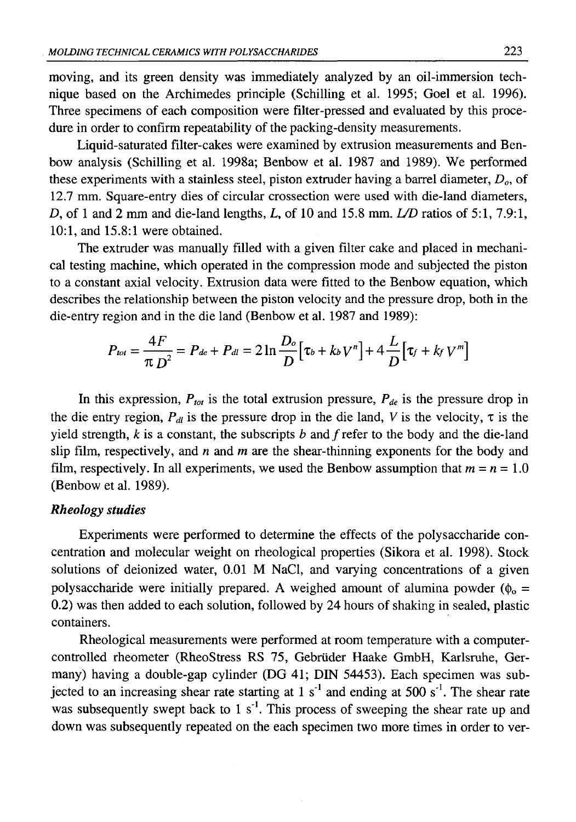moving, and its green density was immediately analyzed by an oil-immersion technique based on the Archimedes principle (Schilling et al. 1995; Goel et al. 1996). Three specimens of each composition were filter-pressed and evaluated by this procedure in order to confirm repeatability of the packing-density measurements.

Liquid-saturated filter-cakes were examined by extrusion measurements and Benbow analysis (Schilling et al. 1998a; Benbow et al. 1987 and 1989). We performed these experiments with a stainless steel, piston extruder having a barrel diameter, *Da,* of 12.7 mm. Square-entry dies of circular crossection were used with die-land diameters, *D*, of 1 and 2 mm and die-land lengths, *L,* of 10 and 15.8 mm. *L/D* ratios of 5:1, 7.9:1, 10:1, and 15.8:1 were obtained.

The extruder was manually filled with a given filter cake and placed in mechanical testing machine, which operated in the compression mode and subjected the piston to a constant axial velocity. Extrusion data were fitted to the Benbow equation, which describes the relationship between the piston velocity and the pressure drop, both in the die-entry region and in the die land (Benbow et al. 1987 and 1989):

$$
P_{tot} = \frac{4F}{\pi D^2} = P_{de} + P_{dl} = 2 \ln \frac{D_o}{D} [\tau_b + k_b V^n] + 4 \frac{L}{D} [\tau_f + k_f V^m]
$$

In this expression,  $P_{tot}$  is the total extrusion pressure,  $P_{de}$  is the pressure drop in the die entry region, *Рл* is the pressure drop in the die land, *V* is the velocity, τ is the yield strength,  $k$  is a constant, the subscripts  $b$  and  $f$  refer to the body and the die-land slip film, respectively, and *n* and *m* are the shear-thinning exponents for the body and film, respectively. In all experiments, we used the Benbow assumption that  $m = n = 1.0$ (Benbow et al. 1989).

### *Rheology studies*

Experiments were performed to determine the effects of the polysaccharide concentration and molecular weight on rheological properties (Sikora et al. 1998). Stock solutions of deionized water, 0.01 M NaCl, and varying concentrations of a given polysaccharide were initially prepared. A weighed amount of alumina powder ( $\phi_0$  = 0.2) was then added to each solution, followed by 24 hours of shaking in sealed, plastic containers.

Rheological measurements were performed at room temperature with a computercontrolled rheometer (RheoStress RS 75, Gebriider Haake GmbH, Karlsruhe, Germany) having a double-gap cylinder (DG 41; DIN 54453). Each specimen was subjected to an increasing shear rate starting at 1 s<sup>-1</sup> and ending at 500 s<sup>-1</sup>. The shear rate was subsequently swept back to 1  $s<sup>-1</sup>$ . This process of sweeping the shear rate up and down was subsequently repeated on the each specimen two more times in order to ver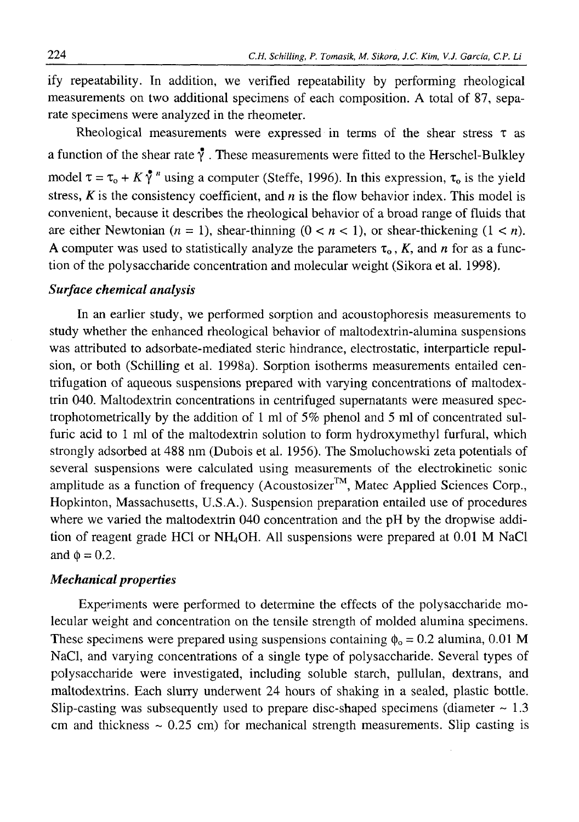ify repeatability. In addition, we verified repeatability by performing rheological measurements on two additional specimens of each composition. A total of 87, separate specimens were analyzed in the rheometer.

Rheological measurements were expressed in terms of the shear stress  $\tau$  as a function of the shear rate  $\mathbf{\hat{y}}$ . These measurements were fitted to the Herschel-Bulkley model  $\tau = \tau_0 + K \gamma^n$  using a computer (Steffe, 1996). In this expression,  $\tau_0$  is the yield stress,  $K$  is the consistency coefficient, and  $n$  is the flow behavior index. This model is convenient, because it describes the rheological behavior of a broad range of fluids that are either Newtonian  $(n = 1)$ , shear-thinning  $(0 < n < 1)$ , or shear-thickening  $(1 < n)$ . A computer was used to statistically analyze the parameters  $\tau_0$ , *K*, and *n* for as a function of the polysaccharide concentration and molecular weight (Sikora et al. 1998).

## *Surface chemical analysis*

In an earlier study, we performed sorption and acoustophoresis measurements to study whether the enhanced rheological behavior of maltodextrin-alumina suspensions was attributed to adsorbate-mediated steric hindrance, electrostatic, interparticle repulsion, or both (Schilling et al. 1998a). Sorption isotherms measurements entailed centrifugation of aqueous suspensions prepared with varying concentrations of maltodextrin 040. Maltodextrin concentrations in centrifuged supernatants were measured spectrophotometrically by the addition of 1 ml of 5% phenol and 5 ml of concentrated sulfuric acid to 1 ml of the maltodextrin solution to form hydroxymethyl furfural, which strongly adsorbed at 488 nm (Dubois et al. 1956). The Smoluchowski zeta potentials of several suspensions were calculated using measurements of the electrokinetic sonic amplitude as a function of frequency (Acoustosizer™, Matec Applied Sciences Corp., Hopkinton, Massachusetts, U.S.A.). Suspension preparation entailed use of procedures where we varied the maltodextrin 040 concentration and the pH by the dropwise addition of reagent grade HC1 or NH4OH. All suspensions were prepared at 0.01 M NaCl and  $\phi = 0.2$ .

# *Mechanical properties*

Experiments were performed to determine the effects of the polysaccharide molecular weight and concentration on the tensile strength of molded alumina specimens. These specimens were prepared using suspensions containing  $\phi_0 = 0.2$  alumina, 0.01 M NaCl, and varying concentrations of a single type of polysaccharide. Several types of polysaccharide were investigated, including soluble starch, pullulan, dextrans, and maltodextrins. Each slurry underwent 24 hours of shaking in a sealed, plastic bottle. Slip-casting was subsequently used to prepare disc-shaped specimens (diameter  $\sim 1.3$ ) cm and thickness  $\sim$  0.25 cm) for mechanical strength measurements. Slip casting is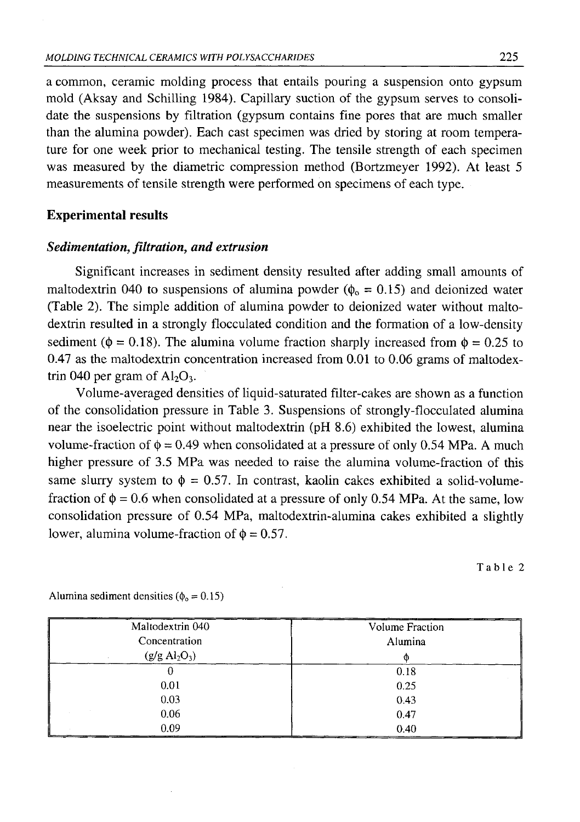a common, ceramic molding process that entails pouring a suspension onto gypsum mold (Aksay and Schilling 1984). Capillary suction of the gypsum serves to consolidate the suspensions by filtration (gypsum contains fine pores that are much smaller than the alumina powder). Each cast specimen was dried by storing at room temperature for one week prior to mechanical testing. The tensile strength of each specimen was measured by the diametric compression method (Bortzmeyer 1992). At least 5 measurements of tensile strength were performed on specimens of each type.

## **Experimental results**

#### *Sedimentation, filtration***,** *and extrusion*

Significant increases in sediment density resulted after adding small amounts of maltodextrin 040 to suspensions of alumina powder ( $\phi_0 = 0.15$ ) and deionized water (Table 2). The simple addition of alumina powder to deionized water without maltodextrin resulted in a strongly flocculated condition and the formation of a low-density sediment ( $\phi = 0.18$ ). The alumina volume fraction sharply increased from  $\phi = 0.25$  to 0.47 as the maltodextrin concentration increased from 0.01 to 0.06 grams of maltodextrin 040 per gram of  $Al_2O_3$ .

Volume-averaged densities of liquid-saturated filter-cakes are shown as a function of the consolidation pressure in Table 3. Suspensions of strongly-flocculated alumina near the isoelectric point without maltodextrin (pH 8.6) exhibited the lowest, alumina volume-fraction of  $\phi = 0.49$  when consolidated at a pressure of only 0.54 MPa. A much higher pressure of 3.5 MPa was needed to raise the alumina volume-fraction of this same slurry system to  $\phi = 0.57$ . In contrast, kaolin cakes exhibited a solid-volumefraction of  $\phi = 0.6$  when consolidated at a pressure of only 0.54 MPa. At the same, low consolidation pressure of 0.54 MPa, maltodextrin-alumina cakes exhibited a slightly lower, alumina volume-fraction of  $\phi = 0.57$ .

Table 2

| Maltodextrin 040               | Volume Fraction |  |
|--------------------------------|-----------------|--|
| Concentration                  | Alumina         |  |
| $(g/g \text{ Al}_2\text{O}_3)$ |                 |  |
|                                | 0.18            |  |
| 0.01                           | 0.25            |  |
| 0.03                           | 0.43            |  |
| 0.06                           | 0.47            |  |
| 0.09                           | 0.40            |  |

Alumina sediment densities ( $\phi_0 = 0.15$ )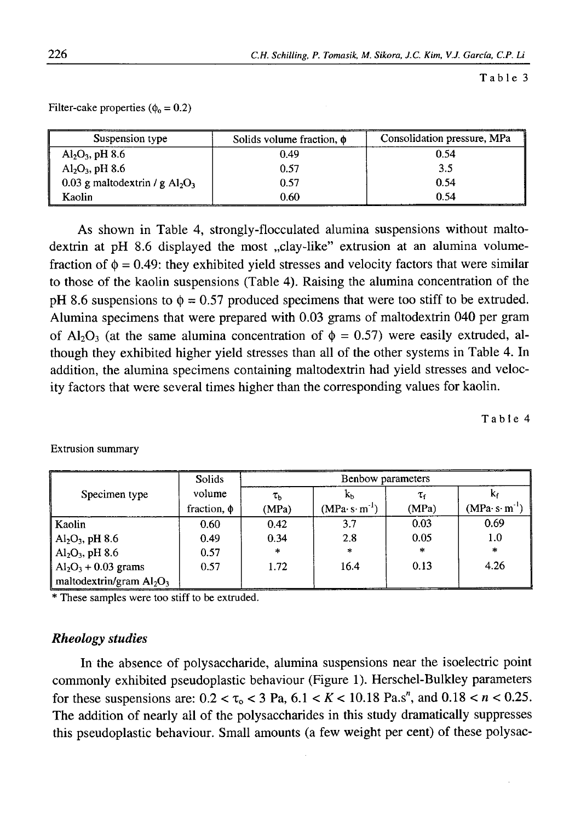Table 3

Filter-cake properties ( $\phi_0 = 0.2$ )

| Suspension type                   | Solids volume fraction, $\phi$ | Consolidation pressure, MPa |  |
|-----------------------------------|--------------------------------|-----------------------------|--|
| $Al_2O_3$ , pH 8.6                | 0.49                           | 0.54                        |  |
| $Al_2O_3$ , pH 8.6                | 0.57                           | 3.5                         |  |
| 0.03 g maltodextrin / g $Al_2O_3$ | 0.57                           | 0.54                        |  |
| Kaolin                            | 0.60                           | 0.54                        |  |

As shown in Table 4, strongly-flocculated alumina suspensions without maltodextrin at pH 8.6 displayed the most "clay-like" extrusion at an alumina volumefraction of  $\phi = 0.49$ : they exhibited yield stresses and velocity factors that were similar to those of the kaolin suspensions (Table 4). Raising the alumina concentration of the pH 8.6 suspensions to  $\phi = 0.57$  produced specimens that were too stiff to be extruded. Alumina specimens that were prepared with 0.03 grams of maltodextrin 040 per gram of Al<sub>2</sub>O<sub>3</sub> (at the same alumina concentration of  $\phi = 0.57$ ) were easily extruded, although they exhibited higher yield stresses than all of the other systems in Table 4. In addition, the alumina specimens containing maltodextrin had yield stresses and velocity factors that were several times higher than the corresponding values for kaolin.

Table 4

|                                                     | <b>Solids</b>    | Benbow parameters |               |                     |               |
|-----------------------------------------------------|------------------|-------------------|---------------|---------------------|---------------|
| Specimen type                                       | volume           | $\tau_{\rm h}$    | Кh            | $\tau_{\mathsf{f}}$ |               |
|                                                     | fraction, $\phi$ | (MPa)             | $(MPa·s·m-1)$ | (MPa)               | $(MPa·s·m-1)$ |
| Kaolin                                              | 0.60             | 0.42              | 3.7           | 0.03                | 0.69          |
| $^1$ Al <sub>2</sub> O <sub>3</sub> , pH 8.6        | 0.49             | 0.34              | 2.8           | 0.05                | 1.0           |
| $Al_2O_3$ , pH 8.6                                  | 0.57             | $\ast$            | $\ast$        | $\ast$              | $\frac{1}{2}$ |
| $\vert$ Al <sub>2</sub> O <sub>3</sub> + 0.03 grams | 0.57             | 1.72              | 16.4          | 0.13                | 4.26          |
| maltodextrin/gram $Al_2O_3$                         |                  |                   |               |                     |               |

Extrusion summary

\* These samples were too stiff to be extruded.

## *Rheology studies*

In the absence of polysaccharide, alumina suspensions near the isoelectric point commonly exhibited pseudoplastic behaviour (Figure 1). Herschel-Bulkley parameters for these suspensions are:  $0.2 < \tau_0 < 3$  Pa,  $6.1 < K < 10.18$  Pa.s<sup>n</sup>, and  $0.18 < n < 0.25$ . The addition of nearly all of the polysaccharides in this study dramatically suppresses this pseudoplastic behaviour. Small amounts (a few weight per cent) of these polysac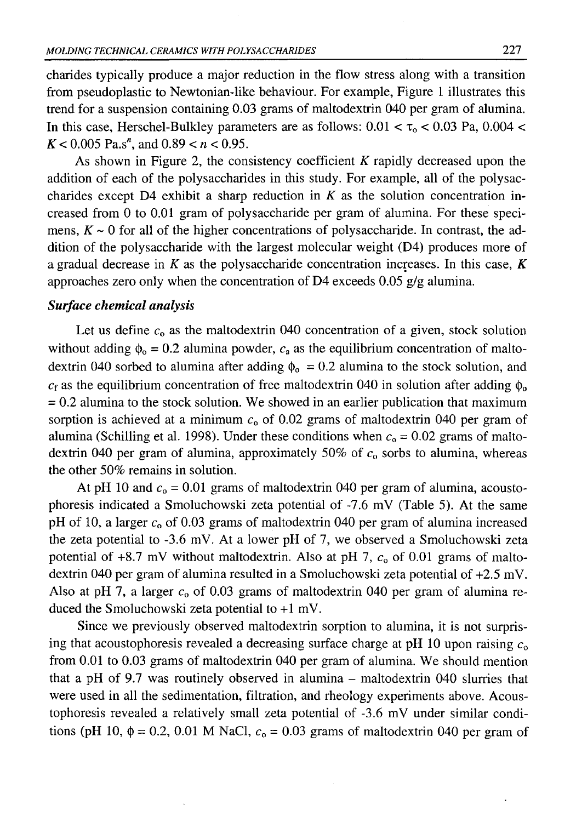charides typically produce a major reduction in the flow stress along with a transition from pseudoplastic to Newtonian-like behaviour. For example, Figure 1 illustrates this trend for a suspension containing 0.03 grams of maltodextrin 040 per gram of alumina. In this case, Herschel-Bulkley parameters are as follows:  $0.01 < \tau_0 < 0.03$  Pa,  $0.004 <$  $K < 0.005$  Pa.s<sup>n</sup>, and  $0.89 < n < 0.95$ .

As shown in Figure 2, the consistency coefficient *K* rapidly decreased upon the addition of each of the polysaccharides in this study. For example, all of the polysaccharides except  $D4$  exhibit a sharp reduction in *K* as the solution concentration increased from 0 to 0.01 gram of polysaccharide per gram of alumina. For these specimens,  $K \sim 0$  for all of the higher concentrations of polysaccharide. In contrast, the addition of the polysaccharide with the largest molecular weight (D4) produces more of a gradual decrease in *K* as the polysaccharide concentration increases. In this case, *K* approaches zero only when the concentration of D4 exceeds  $0.05$  g/g alumina.

## *Surface chemical analysis*

Let us define  $c_0$  as the maltodextrin 040 concentration of a given, stock solution without adding  $\phi_0 = 0.2$  alumina powder,  $c_a$  as the equilibrium concentration of maltodextrin 040 sorbed to alumina after adding  $\phi_0 = 0.2$  alumina to the stock solution, and  $c_f$  as the equilibrium concentration of free maltodextrin 040 in solution after adding  $\phi_0$  $= 0.2$  alumina to the stock solution. We showed in an earlier publication that maximum sorption is achieved at a minimum  $c<sub>0</sub>$  of 0.02 grams of maltodextrin 040 per gram of alumina (Schilling et al. 1998). Under these conditions when  $c_0 = 0.02$  grams of maltodextrin 040 per gram of alumina, approximately 50% of  $c<sub>0</sub>$  sorbs to alumina, whereas the other 50% remains in solution.

At pH 10 and  $c_0 = 0.01$  grams of maltodextrin 040 per gram of alumina, acoustophoresis indicated a Smoluchowski zeta potential of -7.6 mV (Table 5). At the same pH of 10, a larger  $c<sub>0</sub>$  of 0.03 grams of maltodextrin 040 per gram of alumina increased the zeta potential to -3.6 mV. At a lower pH of 7, we observed a Smoluchowski zeta potential of  $+8.7$  mV without maltodextrin. Also at pH 7,  $c<sub>0</sub>$  of 0.01 grams of maltodextrin 040 per gram of alumina resulted in a Smoluchowski zeta potential of +2.5 mV. Also at pH 7, a larger  $c_0$  of 0.03 grams of maltodextrin 040 per gram of alumina reduced the Smoluchowski zeta potential to +1 mV.

Since we previously observed maltodextrin sorption to alumina, it is not surprising that acoustophoresis revealed a decreasing surface charge at pH 10 upon raising  $c_0$ from 0.01 to 0.03 grams of maltodextrin 040 per gram of alumina. We should mention that a pH of 9.7 was routinely observed in alumina – maltodextrin 040 slurries that were used in all the sedimentation, filtration, and rheology experiments above. Acoustophoresis revealed a relatively small zeta potential of -3.6 mV under similar conditions (pH 10,  $\phi$  = 0.2, 0.01 M NaCl,  $c_0$  = 0.03 grams of maltodextrin 040 per gram of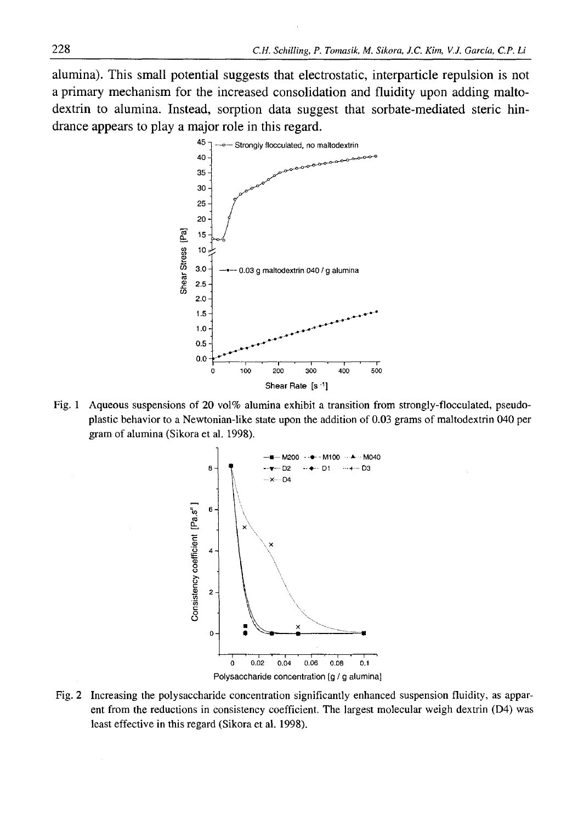alumina). This small potential suggests that electrostatic, interparticle repulsion is not a primary mechanism for the increased consolidation and fluidity upon adding maltodextrin to alumina. Instead, sorption data suggest that sorbate-mediated steric hindrance appears to play a major role in this regard.



Fig. 1 Aqueous suspensions of 20 vol% alumina exhibit a transition from strongly-flocculated, pseudoplastic behavior to a Newtonian-like state upon the addition of 0.03 grams of maltodextrin 040 per gram of alumina (Sikora et al. 1998).



Fig. 2 Increasing the polysaccharide concentration significantly enhanced suspension fluidity, as apparent from the reductions in consistency coefficient. The largest molecular weigh dextrin (D4) was least effective in this regard (Sikora et al. 1998).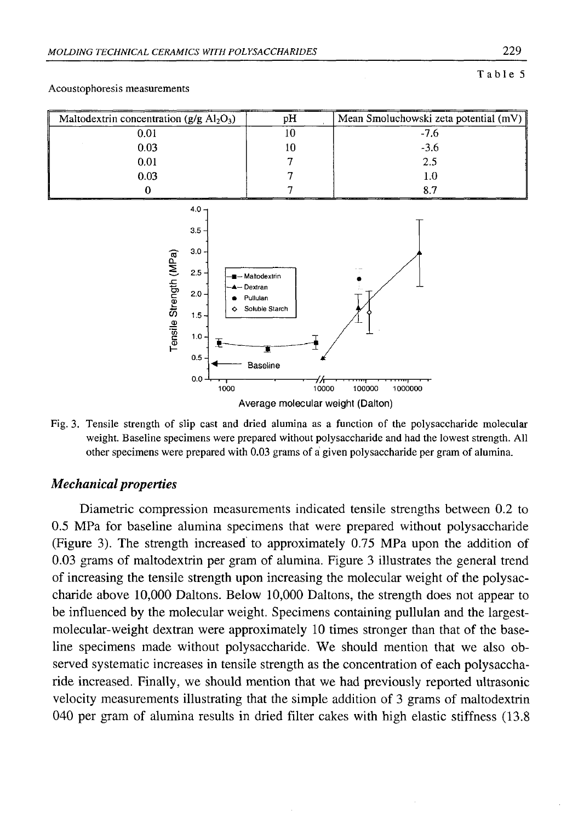#### Table 5



#### Acoustophoresis measurements

Fig. 3. Tensile strength of slip cast and dried alumina as a function of the polysaccharide molecular weight. Baseline specimens were prepared without polysaccharide and had the lowest strength. All other specimens were prepared with 0.03 grams of á given polysaccharide per gram of alumina.

#### *Mechanical properties*

Diametric compression measurements indicated tensile strengths between 0.2 to 0.5 MPa for baseline alumina specimens that were prepared without polysaccharide (Figure 3). The strength increased to approximately 0.75 MPa upon the addition of 0.03 grams of maltodextrin per gram of alumina. Figure 3 illustrates the general trend of increasing the tensile strength upon increasing the molecular weight of the polysaccharide above 10,000 Daltons. Below 10,000 Daltons, the strength does not appear to be influenced by the molecular weight. Specimens containing pullulan and the largestmolecular-weight dextran were approximately 10 times stronger than that of the baseline specimens made without polysaccharide. We should mention that we also observed systematic increases in tensile strength as the concentration of each polysaccharide increased. Finally, we should mention that we had previously reported ultrasonic velocity measurements illustrating that the simple addition of 3 grams of maltodextrin 040 per gram of alumina results in dried filter cakes with high elastic stiffness (13.8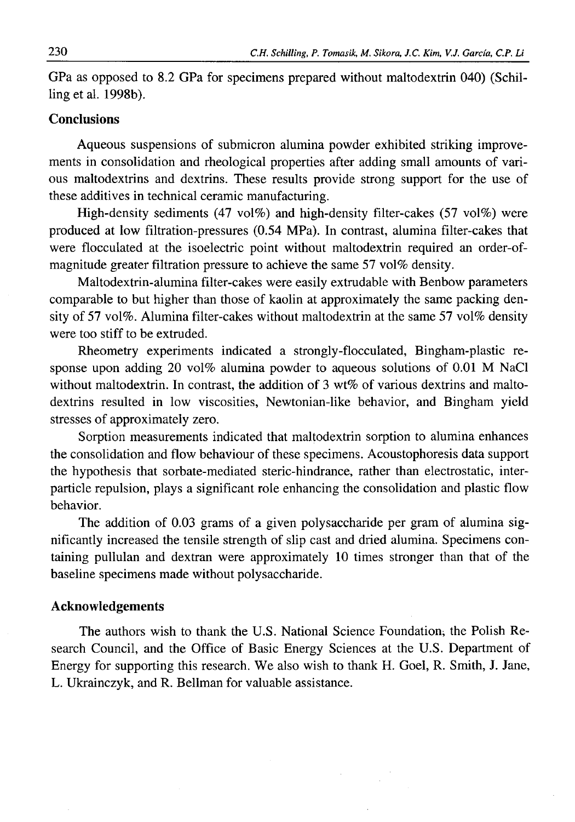GPa as opposed to 8.2 GPa for specimens prepared without maltodextrin 040) (Schilling et al. 1998b).

## **Conclusions**

Aqueous suspensions of submicron alumina powder exhibited striking improvements in consolidation and rheological properties after adding small amounts of various maltodextrins and dextrins. These results provide strong support for the use of these additives in technical ceramic manufacturing.

High-density sediments (47 vol%) and high-density filter-cakes (57 vol%) were produced at low filtration-pressures (0.54 MPa). In contrast, alumina filter-cakes that were flocculated at the isoelectric point without maltodextrin required an order-ofmagnitude greater filtration pressure to achieve the same 57 vol% density.

Maltodextrin-alumina filter-cakes were easily extrudable with Benbow parameters comparable to but higher than those of kaolin at approximately the same packing density of 57 vol%. Alumina filter-cakes without maltodextrin at the same 57 vol% density were too stiff to be extruded.

Rheometry experiments indicated a strongly-flocculated, Bingham-plastic response upon adding 20 vol% alumina powder to aqueous solutions of 0.01 M NaCl without maltodextrin. In contrast, the addition of  $3 w 6$  of various dextrins and maltodextrins resulted in low viscosities, Newtonian-like behavior, and Bingham yield stresses of approximately zero.

Sorption measurements indicated that maltodextrin sorption to alumina enhances the consolidation and flow behaviour of these specimens. Acoustophoresis data support the hypothesis that sorbate-mediated steric-hindrance, rather than electrostatic, interparticle repulsion, plays a significant role enhancing the consolidation and plastic flow behavior.

The addition of 0.03 grams of a given polysaccharide per gram of alumina significantly increased the tensile strength of slip cast and dried alumina. Specimens containing pullulan and dextran were approximately 10 times stronger than that of the baseline specimens made without polysaccharide.

### **Acknowledgements**

The authors wish to thank the U.S. National Science Foundation; the Polish Research Council, and the Office of Basic Energy Sciences at the U.S. Department of Energy for supporting this research. We also wish to thank H. Goel, R. Smith, J. Jane, L. Ukrainczyk, and R. Bellman for valuable assistance.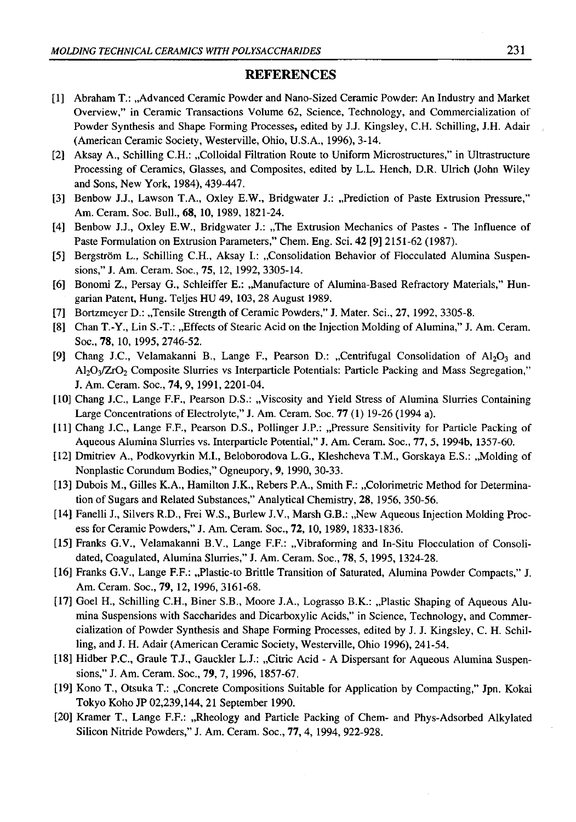### **REFERENCES**

- [1] Abraham T.: "Advanced Ceramic Powder and Nano-Sized Ceramic Powder: An Industry and Market Overview," in Ceramic Transactions Volume 62, Science, Technology, and Commercialization of Powder Synthesis and Shape Forming Processes, edited by J.J. Kingsley, C.H. Schilling, J.H. Adair (American Ceramic Society, Westerville, Ohio, U.S.A., 1996), 3-14.
- [2] Aksay A., Schilling C.H.: "Colloidal Filtration Route to Uniform Microstructures," in Ultrastructure Processing of Ceramics, Glasses, and Composites, edited by L.L. Hench, D.R. Ulrich (John Wiley and Sons, New York, 1984), 439-447.
- [3] Benbow J.J., Lawson T.A., Oxley E.W., Bridgwater J.: "Prediction of Paste Extrusion Pressure," Am. Ceram. Soc. Bull., 68, 10, 1989, 1821-24.
- [4] Benbow J.J., Oxley E.W., Bridgwater J.: "The Extrusion Mechanics of Pastes The Influence of Paste Formulation on Extrusion Parameters," Chem. Eng. Sci. **42** [9] 2151-62 (1987).
- [5] Bergström L., Schilling C.H., Aksay I.: "Consolidation Behavior of Flocculated Alumina Suspensions," J. Am. Ceram. Soc., 75, 12, 1992, 3305-14.
- [6] Bonomi Z., Persay G., Schleiffer E.: "Manufacture of Alumina-Based Refractory Materials," Hungarian Patent, Hung. Teljes HU 49, 103, 28 August 1989.
- [7] Bortzmeyer D.: "Tensile Strength of Ceramic Powders," J. Mater. Sci., 27, 1992, 3305-8.
- [8] Chan T.-Y., Lin S.-T.: "Effects of Stearic Acid on the Injection Molding of Alumina," J. Am. Ceram. Soc., **78,** 10, 1995, 2746-52.
- [9] Chang J.C., Velamakanni B., Lange F., Pearson D.: "Centrifugal Consolidation of  $A<sub>1</sub>O<sub>3</sub>$  and  $AI_2O_3/ZrO_2$  Composite Slurries vs Interparticle Potentials: Particle Packing and Mass Segregation," J. Am. Ceram. Soc., **74,** 9, 1991, 2201-04.
- [10] Chang J.C., Lange F.F., Pearson D.S.: "Viscosity and Yield Stress of Alumina Slurries Containing Large Concentrations of Electrolyte," J. Am. Ceram. Soc. 77 (1) 19-26 (1994 a).
- [11] Chang J.C., Lange F.F., Pearson D.S., Pollinger J.P.: "Pressure Sensitivity for Particle Packing of Aqueous Alumina Slurries vs. Interparticle Potential," J. Am. Ceram. Soc., 77, 5, 1994b, 1357-60.
- [12] Dmitriev A., Podkovyrkin M.I., Beloborodova L.G., Kleshcheva T.M., Gorskaya E.S.: "Molding of Nonplastic Corundum Bodies," Ogneupory, **9,** 1990, 30-33.
- [13] Dubois M., Gilles K.A., Hamilton J.K., Rebers P.A., Smith F.: "Colorimetric Method for Determination of Sugars and Related Substances," Analytical Chemistry, 28, 1956, 350-56.
- [14] Fanelli J., Silvers R.D., Frei W.S., Burlew J.V., Marsh G.B.: "New Aqueous Injection Molding Process for Ceramic Powders," J. Am. Ceram. Soc., 72, 10, 1989, 1833-1836.
- [15] Franks G.V., Velamakanni B.V., Lange F.F.: "Vibraforming and In-Situ Flocculation of Consolidated, Coagulated, Alumina Slurries," J. Am. Ceram. Soc., 78, 5, 1995, 1324-28.
- [16] Franks G.V., Lange F.F.: ,,Plastic-to Brittle Transition of Saturated, Alumina Powder Compacts," J. Am. Ceram. Soc., **79,** 12, 1996, 3161-68.
- [17] Goel H., Schilling C.H., Biner S.B., Moore J.A., Lograsso B.K.: "Plastic Shaping of Aqueous Alumina Suspensions with Saccharides and Dicarboxylic Acids," in Science, Technology, and Commercialization of Powder Synthesis and Shape Forming Processes, edited by J. J. Kingsley, C. H. Schilling, and J. H. Adair (American Ceramic Society, Westerville, Ohio 1996), 241-54.
- [18] Hidber P.C., Graule T.J., Gauckler L.J.: "Citric Acid A Dispersant for Aqueous Alumina Suspensions," J. Am. Ceram. Soc., **79,** 7, 1996, 1857-67.
- [19] Kono T., Otsuka T.: "Concrete Compositions Suitable for Application by Compacting," Jpn. Kokai Tokyo Koho JP 02,239,144, 21 September 1990.
- [20] Kramer T., Lange F.F.: "Rheology and Particle Packing of Chem- and Phys-Adsorbed Alkylated Silicon Nitride Powders," J. Am. Ceram. Soc., 77,4, 1994, 922-928.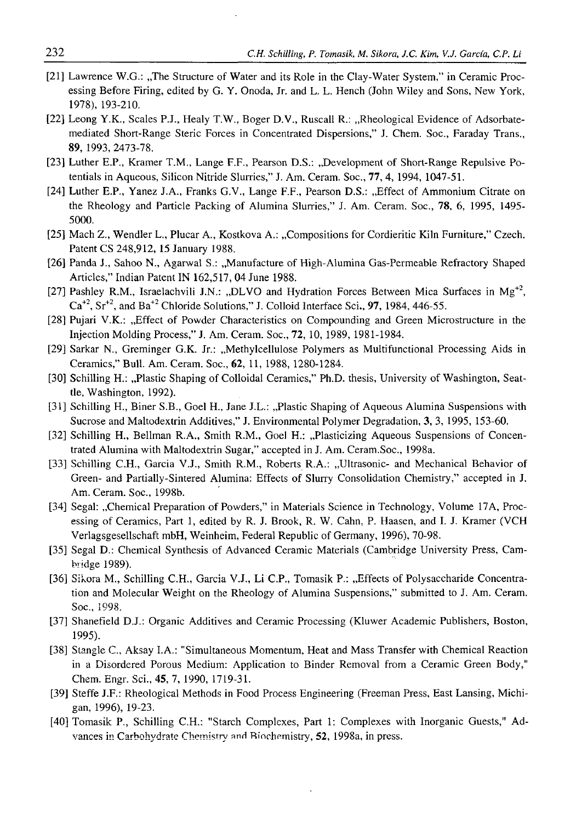- [21] Lawrence W.G.: "The Structure of Water and its Role in the Clay-Water System," in Ceramic Processing Before Firing, edited by G. Y. Onoda, Jr. and L. L. Hench (John Wiley and Sons, New York, 1978), 193-210.
- [22] Leong Y.K., Scales P.J., Healy T.W., Boger D.V., Ruscall R.: "Rheological Evidence of Adsorbatemediated Short-Range Steric Forces in Concentrated Dispersions," J. Chem. Soc., Faraday Trans., 89, 1993, 2473-78.
- [23] Luther E.P., Kramer T.M., Lange F.F., Pearson D.S.: "Development of Short-Range Repulsive Potentials in Aqueous, Silicon Nitride Slurries," J. Am. Ceram. Soc., 77, 4, 1994, 1047-51.
- [24] Luther E.P., Yanez J.A., Franks G.V., Lange F.F., Pearson D.S.: "Effect of Ammonium Citrate on the Rheology and Particle Packing of Alumina Slurries," J. Am. Ceram. Soc., 78, 6 , 1995, 1495- 5000.
- [25] Mach Z., Wendler L., Plucar A., Kostkova A.: "Compositions for Cordieritic Kiln Furniture," Czech. Patent CS 248,912, 15 January 1988.
- [26] Panda J., Sahoo N., Agarwal S.: "Manufacture of High-Alumina Gas-Permeable Refractory Shaped Articles," Indian Patent IN 162,517, 04 June 1988.
- [27] Pashley R.M., Israelachvili J.N.: "DLVO and Hydration Forces Between Mica Surfaces in Mg<sup>+2</sup>,  $Ca<sup>+2</sup>$ ,  $Sr<sup>+2</sup>$ , and  $Ba<sup>+2</sup>$  Chloride Solutions," J. Colloid Interface Sci., **97**, 1984, 446-55.
- [28] Pujari V.K.: "Effect of Powder Characteristics on Compounding and Green Microstructure in the Injection Molding Process," J. Am. Ceram. Soc., 72, 10, 1989, 1981-1984.
- [29] Sarkar N., Greminger G.K. Jr.: "Methylcellulose Polymers as Multifunctional Processing Aids in Ceramics," Bull. Am. Ceram. Soc., 62, 11, 1988, 1280-1284.
- [30] Schilling H.: "Plastic Shaping of Colloidal Ceramics," Ph.D. thesis, University of Washington, Seattle, Washington, 1992).
- [31] Schilling H., Biner S.B., Goel H., Jane J.L.: "Plastic Shaping of Aqueous Alumina Suspensions with Sucrose and Maltodextrin Additives," J. Environmental Polymer Degradation, 3, 3, 1995, 153-60.
- [32] Schilling H., Bellman R.A., Smith R.M., Goel H.: ..Plasticizing Aqueous Suspensions of Concentrated Alumina with Maltodextrin Sugar," accepted in J. Am. Ceram.Soc., 1998a.
- [33] Schilling C.H., Garcia V.J., Smith R.M., Roberts R.A.: "Ultrasonic- and Mechanical Behavior of Green- and Partially-Sintered Alumina: Effects of Slurry Consolidation Chemistry," accepted in J. Am. Ceram. Soc., 1998b.
- [34] Segal: "Chemical Preparation of Powders," in Materials Science in Technology, Volume 17A, Processing of Ceramics, Part 1, edited by R. J. Brook, R. W. Cahn, P. Haasen, and I. J. Kramer (VCH Verlagsgesellschaft mbH, Weinheim, Federal Republic of Germany, 1996), 70-98.
- [35] Segal D.: Chemical Synthesis of Advanced Ceramic Materials (Cambridge University Press, Cambridge 1989).
- [36] Sikora M., Schilling C.H., Garcia V.J., Li C.P., Tomasik P.: "Effects of Polysaccharide Concentration and Molecular Weight on the Rheology of Alumina Suspensions," submitted to J. Am. Ceram. Soc., 1998.
- [37] Shanefield D.J.: Organic Additives and Ceramic Processing (Kluwer Academic Publishers, Boston, 1995).
- [38] Stangle C., Aksay I.A.: "Simultaneous Momentum, Heat and Mass Transfer with Chemical Reaction in a Disordered Porous Medium: Application to Binder Removal from a Ceramic Green Body," Chem. Engr. Sci., 45, 7, 1990, 1719-31.
- [39] Steffe J.F.: Rheological Methods in Food Process Engineering (Freeman Press, East Lansing, Michigan, 1996), 19-23.
- [40] Tomasik P., Schilling C.H.: "Starch Complexes, Part 1: Complexes with Inorganic Guests," Advances in Carbohydrate Chemistry and Biochemistry, 52, 1998a, in press.